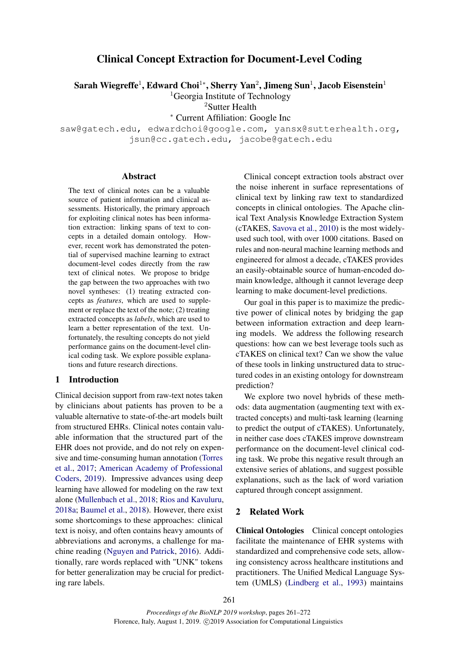# Clinical Concept Extraction for Document-Level Coding

Sarah Wiegreffe<sup>1</sup>, Edward Choi $^{1*}$ , Sherry Yan $^2$ , Jimeng Sun $^1$ , Jacob Eisenstein $^1$ 

<sup>1</sup>Georgia Institute of Technology

<sup>2</sup>Sutter Health

<sup>∗</sup> Current Affiliation: Google Inc

saw@gatech.edu, edwardchoi@google.com, yansx@sutterhealth.org, jsun@cc.gatech.edu, jacobe@gatech.edu

#### Abstract

The text of clinical notes can be a valuable source of patient information and clinical assessments. Historically, the primary approach for exploiting clinical notes has been information extraction: linking spans of text to concepts in a detailed domain ontology. However, recent work has demonstrated the potential of supervised machine learning to extract document-level codes directly from the raw text of clinical notes. We propose to bridge the gap between the two approaches with two novel syntheses: (1) treating extracted concepts as *features*, which are used to supplement or replace the text of the note; (2) treating extracted concepts as *labels*, which are used to learn a better representation of the text. Unfortunately, the resulting concepts do not yield performance gains on the document-level clinical coding task. We explore possible explanations and future research directions.

## 1 Introduction

Clinical decision support from raw-text notes taken by clinicians about patients has proven to be a valuable alternative to state-of-the-art models built from structured EHRs. Clinical notes contain valuable information that the structured part of the EHR does not provide, and do not rely on expensive and time-consuming human annotation [\(Torres](#page-9-0) [et al.,](#page-9-0) [2017;](#page-9-0) [American Academy of Professional](#page-7-0) [Coders,](#page-7-0) [2019\)](#page-7-0). Impressive advances using deep learning have allowed for modeling on the raw text alone [\(Mullenbach et al.,](#page-8-0) [2018;](#page-8-0) [Rios and Kavuluru,](#page-8-1) [2018a;](#page-8-1) [Baumel et al.,](#page-8-2) [2018\)](#page-8-2). However, there exist some shortcomings to these approaches: clinical text is noisy, and often contains heavy amounts of abbreviations and acronyms, a challenge for machine reading [\(Nguyen and Patrick,](#page-8-3) [2016\)](#page-8-3). Additionally, rare words replaced with "UNK" tokens for better generalization may be crucial for predicting rare labels.

Clinical concept extraction tools abstract over the noise inherent in surface representations of clinical text by linking raw text to standardized concepts in clinical ontologies. The Apache clinical Text Analysis Knowledge Extraction System (cTAKES, [Savova et al.,](#page-8-4) [2010\)](#page-8-4) is the most widelyused such tool, with over 1000 citations. Based on rules and non-neural machine learning methods and engineered for almost a decade, cTAKES provides an easily-obtainable source of human-encoded domain knowledge, although it cannot leverage deep learning to make document-level predictions.

Our goal in this paper is to maximize the predictive power of clinical notes by bridging the gap between information extraction and deep learning models. We address the following research questions: how can we best leverage tools such as cTAKES on clinical text? Can we show the value of these tools in linking unstructured data to structured codes in an existing ontology for downstream prediction?

We explore two novel hybrids of these methods: data augmentation (augmenting text with extracted concepts) and multi-task learning (learning to predict the output of cTAKES). Unfortunately, in neither case does cTAKES improve downstream performance on the document-level clinical coding task. We probe this negative result through an extensive series of ablations, and suggest possible explanations, such as the lack of word variation captured through concept assignment.

### 2 Related Work

Clinical Ontologies Clinical concept ontologies facilitate the maintenance of EHR systems with standardized and comprehensive code sets, allowing consistency across healthcare institutions and practitioners. The Unified Medical Language System (UMLS) [\(Lindberg et al.,](#page-8-5) [1993\)](#page-8-5) maintains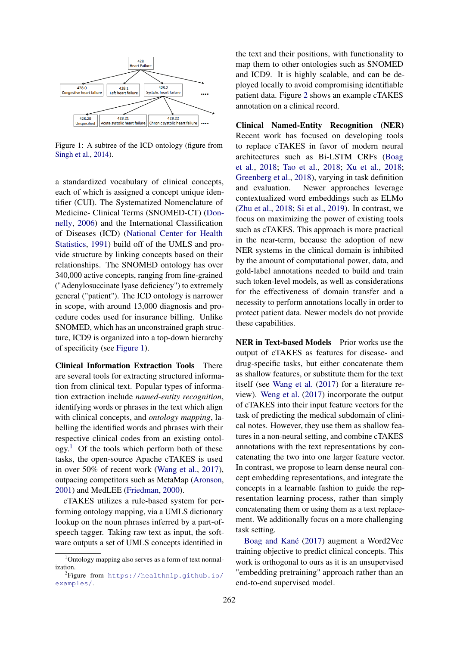<span id="page-1-0"></span>

Figure 1: A subtree of the ICD ontology (figure from [Singh et al.,](#page-8-6) [2014\)](#page-8-6).

a standardized vocabulary of clinical concepts, each of which is assigned a concept unique identifier (CUI). The Systematized Nomenclature of Medicine- Clinical Terms (SNOMED-CT) [\(Don](#page-8-7)[nelly,](#page-8-7) [2006\)](#page-8-7) and the International Classification of Diseases (ICD) [\(National Center for Health](#page-8-8) [Statistics,](#page-8-8) [1991\)](#page-8-8) build off of the UMLS and provide structure by linking concepts based on their relationships. The SNOMED ontology has over 340,000 active concepts, ranging from fine-grained ("Adenylosuccinate lyase deficiency") to extremely general ("patient"). The ICD ontology is narrower in scope, with around 13,000 diagnosis and procedure codes used for insurance billing. Unlike SNOMED, which has an unconstrained graph structure, ICD9 is organized into a top-down hierarchy of specificity (see [Figure 1\)](#page-1-0).

Clinical Information Extraction Tools There are several tools for extracting structured information from clinical text. Popular types of information extraction include *named-entity recognition*, identifying words or phrases in the text which align with clinical concepts, and *ontology mapping*, labelling the identified words and phrases with their respective clinical codes from an existing ontol- $ogy.<sup>1</sup>$  $ogy.<sup>1</sup>$  $ogy.<sup>1</sup>$  Of the tools which perform both of these tasks, the open-source Apache cTAKES is used in over 50% of recent work [\(Wang et al.,](#page-9-1) [2017\)](#page-9-1), outpacing competitors such as MetaMap [\(Aronson,](#page-7-1) [2001\)](#page-7-1) and MedLEE [\(Friedman,](#page-8-9) [2000\)](#page-8-9).

cTAKES utilizes a rule-based system for performing ontology mapping, via a UMLS dictionary lookup on the noun phrases inferred by a part-ofspeech tagger. Taking raw text as input, the software outputs a set of UMLS concepts identified in

the text and their positions, with functionality to map them to other ontologies such as SNOMED and ICD9. It is highly scalable, and can be deployed locally to avoid compromising identifiable patient data. Figure [2](#page-2-0) shows an example cTAKES annotation on a clinical record.

Clinical Named-Entity Recognition (NER) Recent work has focused on developing tools to replace cTAKES in favor of modern neural architectures such as Bi-LSTM CRFs [\(Boag](#page-8-10) [et al.,](#page-8-10) [2018;](#page-8-10) [Tao et al.,](#page-8-11) [2018;](#page-8-11) [Xu et al.,](#page-9-2) [2018;](#page-9-2) [Greenberg et al.,](#page-8-12) [2018\)](#page-8-12), varying in task definition and evaluation. Newer approaches leverage contextualized word embeddings such as ELMo [\(Zhu et al.,](#page-9-3) [2018;](#page-9-3) [Si et al.,](#page-8-13) [2019\)](#page-8-13). In contrast, we focus on maximizing the power of existing tools such as cTAKES. This approach is more practical in the near-term, because the adoption of new NER systems in the clinical domain is inhibited by the amount of computational power, data, and gold-label annotations needed to build and train such token-level models, as well as considerations for the effectiveness of domain transfer and a necessity to perform annotations locally in order to protect patient data. Newer models do not provide these capabilities.

NER in Text-based Models Prior works use the output of cTAKES as features for disease- and drug-specific tasks, but either concatenate them as shallow features, or substitute them for the text itself (see [Wang et al.](#page-9-1) [\(2017\)](#page-9-1) for a literature review). [Weng et al.](#page-9-4) [\(2017\)](#page-9-4) incorporate the output of cTAKES into their input feature vectors for the task of predicting the medical subdomain of clinical notes. However, they use them as shallow features in a non-neural setting, and combine cTAKES annotations with the text representations by concatenating the two into one larger feature vector. In contrast, we propose to learn dense neural concept embedding representations, and integrate the concepts in a learnable fashion to guide the representation learning process, rather than simply concatenating them or using them as a text replacement. We additionally focus on a more challenging task setting.

[Boag and Kané](#page-8-14) [\(2017\)](#page-8-14) augment a Word2Vec training objective to predict clinical concepts. This work is orthogonal to ours as it is an unsupervised "embedding pretraining" approach rather than an end-to-end supervised model.

<span id="page-1-1"></span> $1$ Ontology mapping also serves as a form of text normalization.

<span id="page-1-2"></span><sup>&</sup>lt;sup>2</sup>Figure from [https://healthnlp.github.io/](https://healthnlp.github.io/examples/) [examples/](https://healthnlp.github.io/examples/).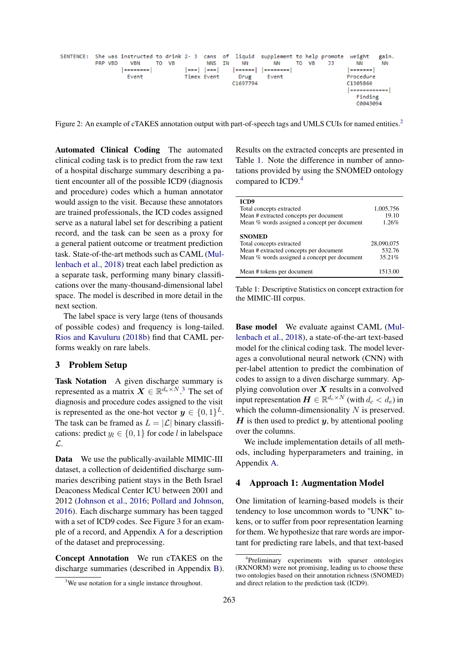<span id="page-2-0"></span>

Figure [2](#page-1-2): An example of cTAKES annotation output with part-of-speech tags and UMLS CUIs for named entities.<sup>2</sup>

Automated Clinical Coding The automated clinical coding task is to predict from the raw text of a hospital discharge summary describing a patient encounter all of the possible ICD9 (diagnosis and procedure) codes which a human annotator would assign to the visit. Because these annotators are trained professionals, the ICD codes assigned serve as a natural label set for describing a patient record, and the task can be seen as a proxy for a general patient outcome or treatment prediction task. State-of-the-art methods such as CAML [\(Mul](#page-8-0)[lenbach et al.,](#page-8-0) [2018\)](#page-8-0) treat each label prediction as a separate task, performing many binary classifications over the many-thousand-dimensional label space. The model is described in more detail in the next section.

The label space is very large (tens of thousands of possible codes) and frequency is long-tailed. [Rios and Kavuluru](#page-8-15) [\(2018b\)](#page-8-15) find that CAML performs weakly on rare labels.

### 3 Problem Setup

<span id="page-2-5"></span>Task Notation A given discharge summary is represented as a matrix  $\mathbf{X} \in \mathbb{R}^{d_e \times N}$ .<sup>[3](#page-2-1)</sup> The set of diagnosis and procedure codes assigned to the visit is represented as the one-hot vector  $y \in \{0,1\}^L$ . The task can be framed as  $L = |\mathcal{L}|$  binary classifications: predict  $y_l \in \{0, 1\}$  for code l in labelspace L.

Data We use the publically-available MIMIC-III dataset, a collection of deidentified discharge summaries describing patient stays in the Beth Israel Deaconess Medical Center ICU between 2001 and 2012 [\(Johnson et al.,](#page-8-16) [2016;](#page-8-16) [Pollard and Johnson,](#page-8-17) [2016\)](#page-8-17). Each discharge summary has been tagged with a set of ICD9 codes. See Figure 3 for an example of a record, and Appendix [A](#page-10-0) for a description of the dataset and preprocessing.

Concept Annotation We run cTAKES on the discharge summaries (described in Appendix [B\)](#page-10-1).

Results on the extracted concepts are presented in Table [1.](#page-2-2) Note the difference in number of annotations provided by using the SNOMED ontology compared to ICD9.<sup>[4](#page-2-3)</sup>

<span id="page-2-2"></span>

| ICD9<br>Total concepts extracted<br>Mean # extracted concepts per document<br>Mean % words assigned a concept per document          | 1,005,756<br>19.10<br>1.26%    |
|-------------------------------------------------------------------------------------------------------------------------------------|--------------------------------|
| <b>SNOMED</b><br>Total concepts extracted<br>Mean # extracted concepts per document<br>Mean % words assigned a concept per document | 28,090,075<br>532.76<br>35.21% |
| Mean # tokens per document                                                                                                          | 1513.00                        |

Table 1: Descriptive Statistics on concept extraction for the MIMIC-III corpus.

Base model We evaluate against CAML [\(Mul](#page-8-0)[lenbach et al.,](#page-8-0) [2018\)](#page-8-0), a state-of-the-art text-based model for the clinical coding task. The model leverages a convolutional neural network (CNN) with per-label attention to predict the combination of codes to assign to a diven discharge summary. Applying convolution over  $X$  results in a convolved input representation  $\boldsymbol{H} \in \mathbb{R}^{d_c \times N}$  (with  $d_c < d_e$ ) in which the column-dimensionality  $N$  is preserved.  $H$  is then used to predict  $y$ , by attentional pooling over the columns.

We include implementation details of all methods, including hyperparameters and training, in Appendix [A.](#page-10-0)

#### <span id="page-2-4"></span>4 Approach 1: Augmentation Model

One limitation of learning-based models is their tendency to lose uncommon words to "UNK" tokens, or to suffer from poor representation learning for them. We hypothesize that rare words are important for predicting rare labels, and that text-based

<span id="page-2-1"></span><sup>&</sup>lt;sup>3</sup>We use notation for a single instance throughout.

<span id="page-2-3"></span><sup>4</sup> Preliminary experiments with sparser ontologies (RXNORM) were not promising, leading us to choose these two ontologies based on their annotation richness (SNOMED) and direct relation to the prediction task (ICD9).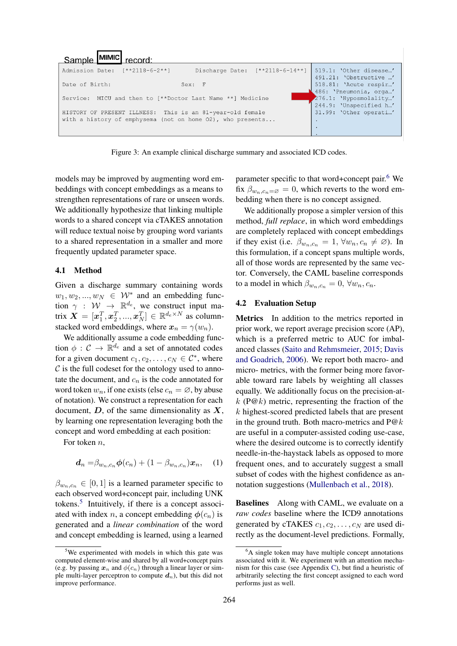

Figure 3: An example clinical discharge summary and associated ICD codes.

models may be improved by augmenting word embeddings with concept embeddings as a means to strengthen representations of rare or unseen words. We additionally hypothesize that linking multiple words to a shared concept via cTAKES annotation will reduce textual noise by grouping word variants to a shared representation in a smaller and more frequently updated parameter space.

#### 4.1 Method

Given a discharge summary containing words  $w_1, w_2, ..., w_N \in W^*$  and an embedding function  $\gamma$  :  $W \rightarrow \mathbb{R}^{d_e}$ , we construct input matrix  $\boldsymbol{X} = [\boldsymbol{x}_1^T, \boldsymbol{x}_2^T, ..., \boldsymbol{x}_N^T] \in \mathbb{R}^{d_e \times N}$  as columnstacked word embeddings, where  $x_n = \gamma(w_n)$ .

We additionally assume a code embedding function  $\phi : \mathcal{C} \to \mathbb{R}^{d_e}$  and a set of annotated codes for a given document  $c_1, c_2, \dots, c_N \in \mathcal{C}^*$ , where  $\mathcal C$  is the full codeset for the ontology used to annotate the document, and  $c_n$  is the code annotated for word token  $w_n$ , if one exists (else  $c_n = \emptyset$ , by abuse of notation). We construct a representation for each document,  $D$ , of the same dimensionality as  $X$ , by learning one representation leveraging both the concept and word embedding at each position:

For token  $n$ ,

$$
\boldsymbol{d}_n = \beta_{w_n,c_n} \boldsymbol{\phi}(c_n) + (1 - \beta_{w_n,c_n}) \boldsymbol{x}_n, \quad (1)
$$

 $\beta_{w_n,c_n} \in [0,1]$  is a learned parameter specific to each observed word+concept pair, including UNK tokens.[5](#page-3-0) Intuitively, if there is a concept associated with index n, a concept embedding  $\phi(c_n)$  is generated and a *linear combination* of the word and concept embedding is learned, using a learned

parameter specific to that word+concept pair. $6$  We fix  $\beta_{w_n,c_n=\emptyset} = 0$ , which reverts to the word embedding when there is no concept assigned.

We additionally propose a simpler version of this method, *full replace*, in which word embeddings are completely replaced with concept embeddings if they exist (i.e.  $\beta_{w_n,c_n} = 1$ ,  $\forall w_n, c_n \neq \emptyset$ ). In this formulation, if a concept spans multiple words, all of those words are represented by the same vector. Conversely, the CAML baseline corresponds to a model in which  $\beta_{w_n,c_n} = 0$ ,  $\forall w_n, c_n$ .

#### 4.2 Evaluation Setup

Metrics In addition to the metrics reported in prior work, we report average precision score (AP), which is a preferred metric to AUC for imbalanced classes [\(Saito and Rehmsmeier,](#page-8-18) [2015;](#page-8-18) [Davis](#page-8-19) [and Goadrich,](#page-8-19) [2006\)](#page-8-19). We report both macro- and micro- metrics, with the former being more favorable toward rare labels by weighting all classes equally. We additionally focus on the precision-at $k$  (P@k) metric, representing the fraction of the k highest-scored predicted labels that are present in the ground truth. Both macro-metrics and  $P@k$ are useful in a computer-assisted coding use-case, where the desired outcome is to correctly identify needle-in-the-haystack labels as opposed to more frequent ones, and to accurately suggest a small subset of codes with the highest confidence as annotation suggestions [\(Mullenbach et al.,](#page-8-0) [2018\)](#page-8-0).

Baselines Along with CAML, we evaluate on a *raw codes* baseline where the ICD9 annotations generated by cTAKES  $c_1, c_2, \ldots, c_N$  are used directly as the document-level predictions. Formally,

<span id="page-3-0"></span><sup>&</sup>lt;sup>5</sup>We experimented with models in which this gate was computed element-wise and shared by all word+concept pairs (e.g. by passing  $x_n$  and  $\phi(c_n)$  through a linear layer or simple multi-layer perceptron to compute  $d_n$ ), but this did not improve performance.

<span id="page-3-1"></span><sup>&</sup>lt;sup>6</sup>A single token may have multiple concept annotations associated with it. We experiment with an attention mechanism for this case (see Appendix [C\)](#page-10-2), but find a heuristic of arbitrarily selecting the first concept assigned to each word performs just as well.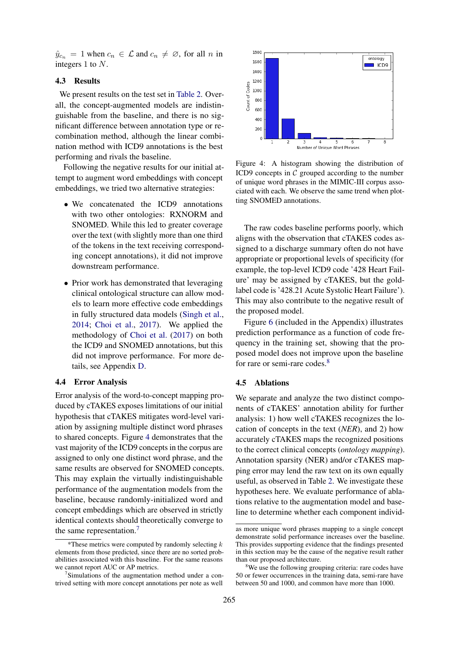$\hat{y}_{c_n} = 1$  when  $c_n \in \mathcal{L}$  and  $c_n \neq \emptyset$ , for all n in integers 1 to N.

### 4.3 Results

We present results on the test set in [Table 2.](#page-5-0) Overall, the concept-augmented models are indistinguishable from the baseline, and there is no significant difference between annotation type or recombination method, although the linear combination method with ICD9 annotations is the best performing and rivals the baseline.

Following the negative results for our initial attempt to augment word embeddings with concept embeddings, we tried two alternative strategies:

- We concatenated the ICD9 annotations with two other ontologies: RXNORM and SNOMED. While this led to greater coverage over the text (with slightly more than one third of the tokens in the text receiving corresponding concept annotations), it did not improve downstream performance.
- Prior work has demonstrated that leveraging clinical ontological structure can allow models to learn more effective code embeddings in fully structured data models [\(Singh et al.,](#page-8-6) [2014;](#page-8-6) [Choi et al.,](#page-8-20) [2017\)](#page-8-20). We applied the methodology of [Choi et al.](#page-8-20) [\(2017\)](#page-8-20) on both the ICD9 and SNOMED annotations, but this did not improve performance. For more details, see Appendix [D.](#page-11-0)

### 4.4 Error Analysis

Error analysis of the word-to-concept mapping produced by cTAKES exposes limitations of our initial hypothesis that cTAKES mitigates word-level variation by assigning multiple distinct word phrases to shared concepts. Figure [4](#page-4-0) demonstrates that the vast majority of the ICD9 concepts in the corpus are assigned to only one distinct word phrase, and the same results are observed for SNOMED concepts. This may explain the virtually indistinguishable performance of the augmentation models from the baseline, because randomly-initialized word and concept embeddings which are observed in strictly identical contexts should theoretically converge to the same representation.<sup>[7](#page-4-1)</sup>

<span id="page-4-0"></span>

Figure 4: A histogram showing the distribution of ICD9 concepts in  $C$  grouped according to the number of unique word phrases in the MIMIC-III corpus associated with each. We observe the same trend when plotting SNOMED annotations.

The raw codes baseline performs poorly, which aligns with the observation that cTAKES codes assigned to a discharge summary often do not have appropriate or proportional levels of specificity (for example, the top-level ICD9 code '428 Heart Failure' may be assigned by cTAKES, but the goldlabel code is '428.21 Acute Systolic Heart Failure'). This may also contribute to the negative result of the proposed model.

Figure [6](#page-11-1) (included in the Appendix) illustrates prediction performance as a function of code frequency in the training set, showing that the proposed model does not improve upon the baseline for rare or semi-rare codes.<sup>[8](#page-4-2)</sup>

#### 4.5 Ablations

We separate and analyze the two distinct components of cTAKES' annotation ability for further analysis: 1) how well cTAKES recognizes the location of concepts in the text (*NER*), and 2) how accurately cTAKES maps the recognized positions to the correct clinical concepts (*ontology mapping*). Annotation sparsity (NER) and/or cTAKES mapping error may lend the raw text on its own equally useful, as observed in Table [2.](#page-5-0) We investigate these hypotheses here. We evaluate performance of ablations relative to the augmentation model and baseline to determine whether each component individ-

<sup>\*</sup>These metrics were computed by randomly selecting  $k$ elements from those predicted, since there are no sorted probabilities associated with this baseline. For the same reasons we cannot report AUC or AP metrics.

<span id="page-4-1"></span><sup>&</sup>lt;sup>7</sup>Simulations of the augmentation method under a contrived setting with more concept annotations per note as well

as more unique word phrases mapping to a single concept demonstrate solid performance increases over the baseline. This provides supporting evidence that the findings presented in this section may be the cause of the negative result rather than our proposed architecture.

<span id="page-4-2"></span><sup>&</sup>lt;sup>8</sup>We use the following grouping criteria: rare codes have 50 or fewer occurrences in the training data, semi-rare have between 50 and 1000, and common have more than 1000.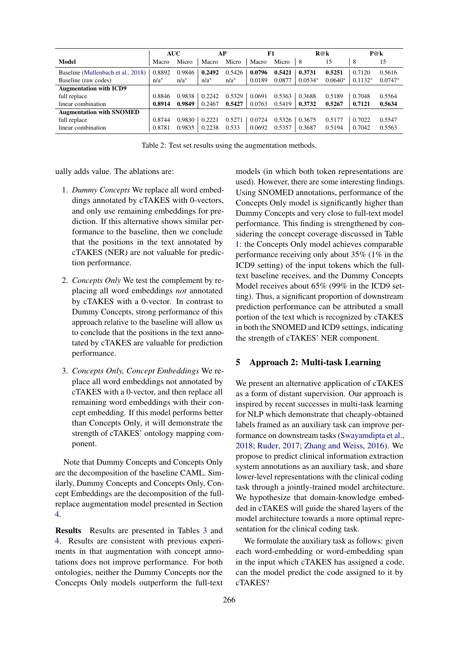<span id="page-5-0"></span>

|                                    | <b>AUC</b><br>АP |         | F1      |         | R@k    |        | P@k       |           |           |           |
|------------------------------------|------------------|---------|---------|---------|--------|--------|-----------|-----------|-----------|-----------|
| <b>Model</b>                       | Macro            | Micro   | Macro   | Micro   | Macro  | Micro  | 8         | 15        | 8         | 15        |
| Baseline (Mullenbach et al., 2018) | 0.8892           | 0.9846  | 0.2492  | 0.5426  | 0.0796 | 0.5421 | 0.3731    | 0.5251    | 0.7120    | 0.5616    |
| Baseline (raw codes)               | $n/a^*$          | $n/a^*$ | $n/a^*$ | $n/a^*$ | 0.0189 | 0.0877 | $0.0534*$ | $0.0640*$ | $0.1132*$ | $0.0747*$ |
| <b>Augmentation with ICD9</b>      |                  |         |         |         |        |        |           |           |           |           |
| full replace                       | 0.8846           | 0.9838  | 0.2242  | 0.5329  | 0.0691 | 0.5363 | 0.3688    | 0.5189    | 0.7048    | 0.5564    |
| linear combination                 | 0.8914           | 0.9849  | 0.2467  | 0.5427  | 0.0763 | 0.5419 | 0.3732    | 0.5267    | 0.7121    | 0.5634    |
| <b>Augmentation with SNOMED</b>    |                  |         |         |         |        |        |           |           |           |           |
| full replace                       | 0.8744           | 0.9830  | 0.2221  | 0.5271  | 0.0724 | 0.5326 | 0.3675    | 0.5177    | 0.7022    | 0.5547    |
| linear combination                 | 0.8781           | 0.9835  | 0.2238  | 0.533   | 0.0692 | 0.5357 | 0.3687    | 0.5194    | 0.7042    | 0.5563    |

Table 2: Test set results using the augmentation methods.

ually adds value. The ablations are:

- 1. *Dummy Concepts* We replace all word embeddings annotated by cTAKES with 0-vectors, and only use remaining embeddings for prediction. If this alternative shows similar performance to the baseline, then we conclude that the positions in the text annotated by cTAKES (NER) are not valuable for prediction performance.
- 2. *Concepts Only* We test the complement by replacing all word embeddings *not* annotated by cTAKES with a 0-vector. In contrast to Dummy Concepts, strong performance of this approach relative to the baseline will allow us to conclude that the positions in the text annotated by cTAKES are valuable for prediction performance.
- 3. *Concepts Only, Concept Embeddings* We replace all word embeddings not annotated by cTAKES with a 0-vector, and then replace all remaining word embeddings with their concept embedding. If this model performs better than Concepts Only, it will demonstrate the strength of cTAKES' ontology mapping component.

Note that Dummy Concepts and Concepts Only are the decomposition of the baseline CAML. Similarly, Dummy Concepts and Concepts Only, Concept Embeddings are the decomposition of the fullreplace augmentation model presented in Section [4.](#page-2-4)

Results Results are presented in Tables [3](#page-6-0) and [4.](#page-6-1) Results are consistent with previous experiments in that augmentation with concept annotations does not improve performance. For both ontologies, neither the Dummy Concepts nor the Concepts Only models outperform the full-text models (in which both token representations are used). However, there are some interesting findings. Using SNOMED annotations, performance of the Concepts Only model is significantly higher than Dummy Concepts and very close to full-text model performance. This finding is strengthened by considering the concept coverage discussed in Table [1:](#page-2-2) the Concepts Only model achieves comparable performance receiving only about 35% (1% in the ICD9 setting) of the input tokens which the fulltext baseline receives, and the Dummy Concepts Model receives about 65% (99% in the ICD9 setting). Thus, a significant proportion of downstream prediction performance can be attributed a small portion of the text which is recognized by cTAKES in both the SNOMED and ICD9 settings, indicating the strength of cTAKES' NER component.

#### <span id="page-5-1"></span>5 Approach 2: Multi-task Learning

We present an alternative application of cTAKES as a form of distant supervision. Our approach is inspired by recent successes in multi-task learning for NLP which demonstrate that cheaply-obtained labels framed as an auxiliary task can improve performance on downstream tasks [\(Swayamdipta et al.,](#page-8-21) [2018;](#page-8-21) [Ruder,](#page-8-22) [2017;](#page-8-22) [Zhang and Weiss,](#page-9-5) [2016\)](#page-9-5). We propose to predict clinical information extraction system annotations as an auxiliary task, and share lower-level representations with the clinical coding task through a jointly-trained model architecture. We hypothesize that domain-knowledge embedded in cTAKES will guide the shared layers of the model architecture towards a more optimal representation for the clinical coding task.

We formulate the auxiliary task as follows: given each word-embedding or word-embedding span in the input which cTAKES has assigned a code, can the model predict the code assigned to it by cTAKES?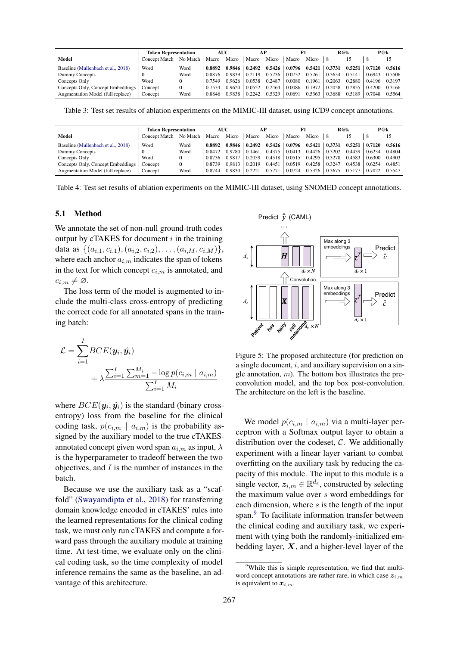<span id="page-6-0"></span>

|                                    | <b>Token Representation</b> |          | <b>AUC</b> |        | AF     |        |        |        | R@k    |          | P@k    |        |
|------------------------------------|-----------------------------|----------|------------|--------|--------|--------|--------|--------|--------|----------|--------|--------|
| Model                              | Concept Match               | No Match | Macro      | Micro  | Macro  | Micro  | Macro  | Micro  |        |          |        |        |
| Baseline (Mullenbach et al., 2018) | Word                        | Word     | 0.8892     | 0.9846 | 0.2492 | 0.5426 | 0.0796 | 0.5421 | 0.3731 | $0.5251$ | 0.7120 | 0.5616 |
| Dummy Concepts                     |                             | Word     | 0.8876     | 0.9839 | 0.2119 | 0.5236 | 0.0732 | 0.5261 | 0.3634 | 0.5141   | 0.6943 | 0.5506 |
| Concepts Only                      | Word                        |          | 0.7549     | 0.9626 | 0.0538 | 0.2487 | 0.0080 | 0.1961 | 0.2063 | 0.2880   | 0.4196 | 0.3197 |
| Concepts Only, Concept Embeddings  | Concept                     |          | 0.7534     | 0.9620 | 0.0552 | 0.2464 | 0.0086 | 0.1972 | 0.2058 | 0.2855   | 0.4200 | 0.3166 |
| Augmentation Model (full replace)  | Concept                     | Word     | 0.8846     | 0.9838 | 0.2242 | 0.5329 | 0.0691 | 0.5363 | 0.3688 | 0.5189   | 0.7048 | 0.5564 |

Table 3: Test set results of ablation experiments on the MIMIC-III dataset, using ICD9 concept annotations.

<span id="page-6-1"></span>

|                                    | <b>Token Representation</b> |          | <b>AUC</b> |        | АP     |        |        |        | R@k    |        | P@k    |        |
|------------------------------------|-----------------------------|----------|------------|--------|--------|--------|--------|--------|--------|--------|--------|--------|
| Model                              | <b>Concept Match</b>        | No Match | Macro      | Micro  | Macro  | Micro  | Macro  | Micro  | -8     |        |        |        |
| Baseline (Mullenbach et al., 2018) | Word                        | Word     | 0.8892     | 0.9846 | 0.2492 | 0.5426 | 0.0796 | 0.5421 | 0.3731 | 0.5251 | 0.7120 | 0.5616 |
| Dummy Concepts                     |                             | Word     | 0.8472     | 0.9780 | 0.1461 | 0.4375 | 0.0413 | 0.4426 | 0.3202 | 0.4439 | 0.6234 | 0.4804 |
| Concepts Only                      | Word                        |          | 0.8736     | 0.9817 | 0.2059 | 0.4518 | 0.0515 | 0.4295 | 0.3278 | 0.4583 | 0.6300 | 0.4903 |
| Concepts Only, Concept Embeddings  | Concept                     |          | 0.8739     | 0.9813 | 0.2019 | 0.4451 | 0.0519 | 0.4258 | 0.3247 | 0.4538 | 0.6254 | 0.4851 |
| Augmentation Model (full replace)  | Concept                     | Word     | 0.8744     | 0.9830 | 0.2221 | 0.5271 | 0.0724 | 0.5326 | 0.3675 | 0.5177 | 0.7022 | 0.5547 |

Table 4: Test set results of ablation experiments on the MIMIC-III dataset, using SNOMED concept annotations.

## 5.1 Method

We annotate the set of non-null ground-truth codes output by cTAKES for document  $i$  in the training data as  $\{(a_{i,1}, c_{i,1}), (a_{i,2}, c_{i,2}), \ldots, (a_{i,M}, c_{i,M})\},\$ where each anchor  $a_{i,m}$  indicates the span of tokens in the text for which concept  $c_{i,m}$  is annotated, and  $c_{i,m} \neq \emptyset$ .

The loss term of the model is augmented to include the multi-class cross-entropy of predicting the correct code for all annotated spans in the training batch:

$$
\mathcal{L} = \sum_{i=1}^{I} BCE(\mathbf{y}_i, \hat{\mathbf{y}}_i) + \lambda \frac{\sum_{i=1}^{I} \sum_{m=1}^{M_i} -\log p(c_{i,m} \mid a_{i,m})}{\sum_{i=1}^{I} M_i}
$$

where  $BCE(\mathbf{y}_i, \hat{\mathbf{y}}_i)$  is the standard (binary crossentropy) loss from the baseline for the clinical coding task,  $p(c_{i,m} \mid a_{i,m})$  is the probability assigned by the auxiliary model to the true cTAKESannotated concept given word span  $a_{i,m}$  as input,  $\lambda$ is the hyperparameter to tradeoff between the two objectives, and  $I$  is the number of instances in the batch.

Because we use the auxiliary task as a "scaffold" [\(Swayamdipta et al.,](#page-8-21) [2018\)](#page-8-21) for transferring domain knowledge encoded in cTAKES' rules into the learned representations for the clinical coding task, we must only run cTAKES and compute a forward pass through the auxiliary module at training time. At test-time, we evaluate only on the clinical coding task, so the time complexity of model inference remains the same as the baseline, an advantage of this architecture.

<span id="page-6-3"></span>ruataset, using Siv<br>Predict  $\hat{y}$  (CAML)  $\mathbb{R}$  . The set of  $\mathbb{R}$  $\begin{CD} \mathcal{F} \rightarrow \mathcal{F}^\text{Predict} \ \mathcal{F} \rightarrow \hat{c} \end{CD}$  $\widehat{\mathcal{F}}$ Max along 3 embeddings Predict H  $d_c$  $d_c \times \Lambda$  $d_c \times$ ──<br>edic<br>∂ Convolution Max along 3 embeddings Predict  $z^T$  $d_e$  $X \vert \vert$  $d_e \times 1$ cell anoma<sub>de × N</sub>L *has hairy Patient*

Figure 5: The proposed architecture (for prediction on a single document, i, and auxiliary supervision on a single annotation,  $m$ ). The bottom box illustrates the preconvolution model, and the top box post-convolution. The architecture on the left is the baseline.

We model  $p(c_{i,m} \mid a_{i,m})$  via a multi-layer perceptron with a Softmax output layer to obtain a distribution over the codeset,  $C$ . We additionally experiment with a linear layer variant to combat overfitting on the auxiliary task by reducing the capacity of this module. The input to this module is a single vector,  $z_{i,m} \in \mathbb{R}^{d_e}$ , constructed by selecting the maximum value over s word embeddings for each dimension, where  $s$  is the length of the input span.<sup>[9](#page-6-2)</sup> To facilitate information transfer between the clinical coding and auxiliary task, we experiment with tying both the randomly-initialized embedding layer,  $X$ , and a higher-level layer of the

<span id="page-6-2"></span><sup>&</sup>lt;sup>9</sup>While this is simple representation, we find that multiword concept annotations are rather rare, in which case  $z_{i,m}$ is equivalent to  $x_{i,m}$ .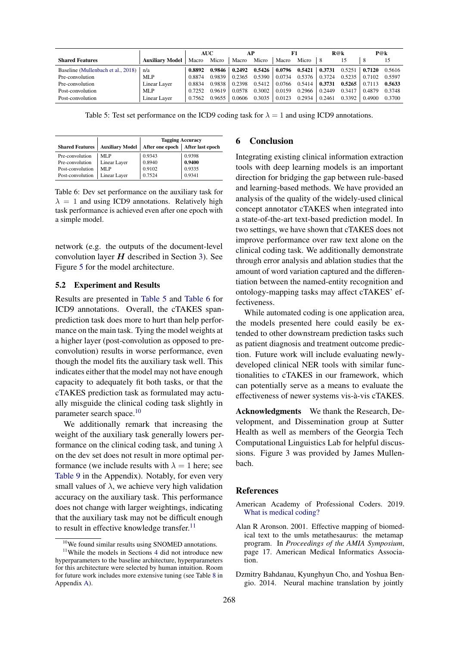<span id="page-7-2"></span>

|                                    |                        | <b>AUC</b> |        | AP     |        |        |        | R@k    |        | P@k    |        |
|------------------------------------|------------------------|------------|--------|--------|--------|--------|--------|--------|--------|--------|--------|
| <b>Shared Features</b>             | <b>Auxiliary Model</b> | Macro      | Micro  | Macro  | Micro  | Macro  | Micro  | 8      | 15     | -8     |        |
| Baseline (Mullenbach et al., 2018) | n/a                    | 0.8892     | 0.9846 | 0.2492 | 0.5426 | 0.0796 | 0.5421 | 0.3731 | 0.5251 | 0.7120 | 0.5616 |
| Pre-convolution                    | MLP                    | 0.8874     | 0.9839 | 0.2365 | 0.5390 | 0.0734 | 0.5376 | 0.3724 | 0.5235 | 0.7102 | 0.5597 |
| Pre-convolution                    | Linear Layer           | 0.8834     | 0.9838 | 0.2398 | 0.5412 | 0.0766 | 0.5414 | 0.3731 | 0.5265 | 0.7113 | 0.5633 |
| Post-convolution                   | MLP                    | 0.7252     | 0 9619 | 0.0578 | 0.3002 | 0.0159 | 0.2966 | 0.2449 | 0.3417 | 0.4879 | 0.3748 |
| Post-convolution                   | Linear Layer           | 0.7562     | 0.9655 | 0.0606 | 0.3035 | 0.0123 | 0.2934 | 0.2461 | 0.3392 | 0.4900 | 0.3700 |

Table 5: Test set performance on the ICD9 coding task for  $\lambda = 1$  and using ICD9 annotations.

<span id="page-7-3"></span>

|                        |                        | <b>Tagging Accuracy</b>            |        |  |  |  |  |
|------------------------|------------------------|------------------------------------|--------|--|--|--|--|
| <b>Shared Features</b> | <b>Auxiliary Model</b> | After one epoch   After last epoch |        |  |  |  |  |
| Pre-convolution        | MLP                    | 0.9343                             | 0.9398 |  |  |  |  |
| Pre-convolution        | Linear Layer           | 0.8940                             | 0.9400 |  |  |  |  |
| Post-convolution       | MLP                    | 0.9102                             | 0.9335 |  |  |  |  |
| Post-convolution       | Linear Layer           | 0.7524                             | 0.9341 |  |  |  |  |

Table 6: Dev set performance on the auxiliary task for  $\lambda = 1$  and using ICD9 annotations. Relatively high task performance is achieved even after one epoch with a simple model.

network (e.g. the outputs of the document-level convolution layer  $H$  described in Section [3\)](#page-2-5). See Figure [5](#page-6-3) for the model architecture.

### 5.2 Experiment and Results

Results are presented in [Table 5](#page-7-2) and [Table 6](#page-7-3) for ICD9 annotations. Overall, the cTAKES spanprediction task does more to hurt than help performance on the main task. Tying the model weights at a higher layer (post-convolution as opposed to preconvolution) results in worse performance, even though the model fits the auxiliary task well. This indicates either that the model may not have enough capacity to adequately fit both tasks, or that the cTAKES prediction task as formulated may actually misguide the clinical coding task slightly in parameter search space.<sup>[10](#page-7-4)</sup>

We additionally remark that increasing the weight of the auxiliary task generally lowers performance on the clinical coding task, and tuning  $\lambda$ on the dev set does not result in more optimal performance (we include results with  $\lambda = 1$  here; see [Table 9](#page-11-2) in the Appendix). Notably, for even very small values of  $\lambda$ , we achieve very high validation accuracy on the auxiliary task. This performance does not change with larger weightings, indicating that the auxiliary task may not be difficult enough to result in effective knowledge transfer.<sup>[11](#page-7-5)</sup>

# 6 Conclusion

Integrating existing clinical information extraction tools with deep learning models is an important direction for bridging the gap between rule-based and learning-based methods. We have provided an analysis of the quality of the widely-used clinical concept annotator cTAKES when integrated into a state-of-the-art text-based prediction model. In two settings, we have shown that cTAKES does not improve performance over raw text alone on the clinical coding task. We additionally demonstrate through error analysis and ablation studies that the amount of word variation captured and the differentiation between the named-entity recognition and ontology-mapping tasks may affect cTAKES' effectiveness.

While automated coding is one application area, the models presented here could easily be extended to other downstream prediction tasks such as patient diagnosis and treatment outcome prediction. Future work will include evaluating newlydeveloped clinical NER tools with similar functionalities to cTAKES in our framework, which can potentially serve as a means to evaluate the effectiveness of newer systems vis-à-vis cTAKES.

Acknowledgments We thank the Research, Development, and Dissemination group at Sutter Health as well as members of the Georgia Tech Computational Linguistics Lab for helpful discussions. Figure 3 was provided by James Mullenbach.

## References

- <span id="page-7-0"></span>American Academy of Professional Coders. 2019. [What is medical coding?](https://www.aapc.com/medical-coding/medical-coding.aspx)
- <span id="page-7-1"></span>Alan R Aronson. 2001. Effective mapping of biomedical text to the umls metathesaurus: the metamap program. In *Proceedings of the AMIA Symposium*, page 17. American Medical Informatics Association.
- <span id="page-7-6"></span>Dzmitry Bahdanau, Kyunghyun Cho, and Yoshua Bengio. 2014. Neural machine translation by jointly

<span id="page-7-5"></span><span id="page-7-4"></span><sup>10</sup>We found similar results using SNOMED annotations.

<sup>&</sup>lt;sup>11</sup>While the models in Sections [4](#page-2-4) did not introduce new hyperparameters to the baseline architecture, hyperparameters for this architecture were selected by human intuition. Room for future work includes more extensive tuning (see Table [8](#page-10-3) in Appendix [A\)](#page-10-0).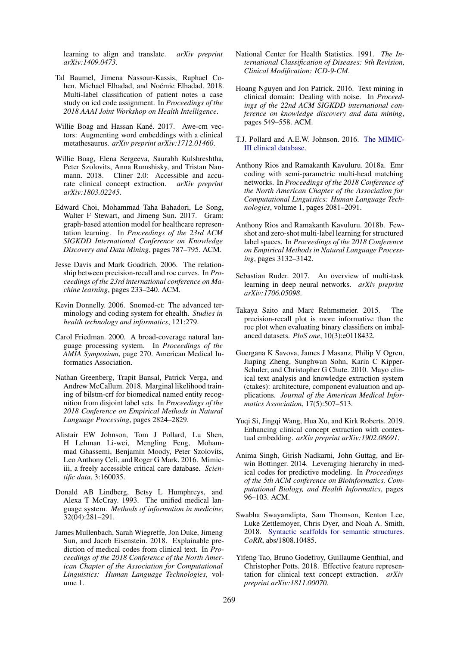learning to align and translate. *arXiv preprint arXiv:1409.0473*.

- <span id="page-8-2"></span>Tal Baumel, Jimena Nassour-Kassis, Raphael Cohen, Michael Elhadad, and Noémie Elhadad. 2018. Multi-label classification of patient notes a case study on icd code assignment. In *Proceedings of the 2018 AAAI Joint Workshop on Health Intelligence*.
- <span id="page-8-14"></span>Willie Boag and Hassan Kané. 2017. Awe-cm vectors: Augmenting word embeddings with a clinical metathesaurus. *arXiv preprint arXiv:1712.01460*.
- <span id="page-8-10"></span>Willie Boag, Elena Sergeeva, Saurabh Kulshreshtha, Peter Szolovits, Anna Rumshisky, and Tristan Naumann. 2018. Cliner 2.0: Accessible and accurate clinical concept extraction. *arXiv preprint arXiv:1803.02245*.
- <span id="page-8-20"></span>Edward Choi, Mohammad Taha Bahadori, Le Song, Walter F Stewart, and Jimeng Sun. 2017. Gram: graph-based attention model for healthcare representation learning. In *Proceedings of the 23rd ACM SIGKDD International Conference on Knowledge Discovery and Data Mining*, pages 787–795. ACM.
- <span id="page-8-19"></span>Jesse Davis and Mark Goadrich. 2006. The relationship between precision-recall and roc curves. In *Proceedings of the 23rd international conference on Machine learning*, pages 233–240. ACM.
- <span id="page-8-7"></span>Kevin Donnelly. 2006. Snomed-ct: The advanced terminology and coding system for ehealth. *Studies in health technology and informatics*, 121:279.
- <span id="page-8-9"></span>Carol Friedman. 2000. A broad-coverage natural language processing system. In *Proceedings of the AMIA Symposium*, page 270. American Medical Informatics Association.
- <span id="page-8-12"></span>Nathan Greenberg, Trapit Bansal, Patrick Verga, and Andrew McCallum. 2018. Marginal likelihood training of bilstm-crf for biomedical named entity recognition from disjoint label sets. In *Proceedings of the 2018 Conference on Empirical Methods in Natural Language Processing*, pages 2824–2829.
- <span id="page-8-16"></span>Alistair EW Johnson, Tom J Pollard, Lu Shen, H Lehman Li-wei, Mengling Feng, Mohammad Ghassemi, Benjamin Moody, Peter Szolovits, Leo Anthony Celi, and Roger G Mark. 2016. Mimiciii, a freely accessible critical care database. *Scientific data*, 3:160035.
- <span id="page-8-5"></span>Donald AB Lindberg, Betsy L Humphreys, and Alexa T McCray. 1993. The unified medical language system. *Methods of information in medicine*, 32(04):281–291.
- <span id="page-8-0"></span>James Mullenbach, Sarah Wiegreffe, Jon Duke, Jimeng Sun, and Jacob Eisenstein. 2018. Explainable prediction of medical codes from clinical text. In *Proceedings of the 2018 Conference of the North American Chapter of the Association for Computational Linguistics: Human Language Technologies*, volume 1.
- <span id="page-8-8"></span>National Center for Health Statistics. 1991. *The International Classification of Diseases: 9th Revision, Clinical Modification: ICD-9-CM*.
- <span id="page-8-3"></span>Hoang Nguyen and Jon Patrick. 2016. Text mining in clinical domain: Dealing with noise. In *Proceedings of the 22nd ACM SIGKDD international conference on knowledge discovery and data mining*, pages 549–558. ACM.
- <span id="page-8-17"></span>T.J. Pollard and A.E.W. Johnson. 2016. [The MIMIC-](http://dx.doi.org/10.13026/C2XW26)[III clinical database.](http://dx.doi.org/10.13026/C2XW26)
- <span id="page-8-1"></span>Anthony Rios and Ramakanth Kavuluru. 2018a. Emr coding with semi-parametric multi-head matching networks. In *Proceedings of the 2018 Conference of the North American Chapter of the Association for Computational Linguistics: Human Language Technologies*, volume 1, pages 2081–2091.
- <span id="page-8-15"></span>Anthony Rios and Ramakanth Kavuluru. 2018b. Fewshot and zero-shot multi-label learning for structured label spaces. In *Proceedings of the 2018 Conference on Empirical Methods in Natural Language Processing*, pages 3132–3142.
- <span id="page-8-22"></span>Sebastian Ruder. 2017. An overview of multi-task learning in deep neural networks. *arXiv preprint arXiv:1706.05098*.
- <span id="page-8-18"></span>Takaya Saito and Marc Rehmsmeier. 2015. The precision-recall plot is more informative than the roc plot when evaluating binary classifiers on imbalanced datasets. *PloS one*, 10(3):e0118432.
- <span id="page-8-4"></span>Guergana K Savova, James J Masanz, Philip V Ogren, Jiaping Zheng, Sunghwan Sohn, Karin C Kipper-Schuler, and Christopher G Chute. 2010. Mayo clinical text analysis and knowledge extraction system (ctakes): architecture, component evaluation and applications. *Journal of the American Medical Informatics Association*, 17(5):507–513.
- <span id="page-8-13"></span>Yuqi Si, Jingqi Wang, Hua Xu, and Kirk Roberts. 2019. Enhancing clinical concept extraction with contextual embedding. *arXiv preprint arXiv:1902.08691*.
- <span id="page-8-6"></span>Anima Singh, Girish Nadkarni, John Guttag, and Erwin Bottinger. 2014. Leveraging hierarchy in medical codes for predictive modeling. In *Proceedings of the 5th ACM conference on Bioinformatics, Computational Biology, and Health Informatics*, pages 96–103. ACM.
- <span id="page-8-21"></span>Swabha Swayamdipta, Sam Thomson, Kenton Lee, Luke Zettlemoyer, Chris Dyer, and Noah A. Smith. 2018. [Syntactic scaffolds for semantic structures.](http://arxiv.org/abs/1808.10485) *CoRR*, abs/1808.10485.
- <span id="page-8-11"></span>Yifeng Tao, Bruno Godefroy, Guillaume Genthial, and Christopher Potts. 2018. Effective feature representation for clinical text concept extraction. *arXiv preprint arXiv:1811.00070*.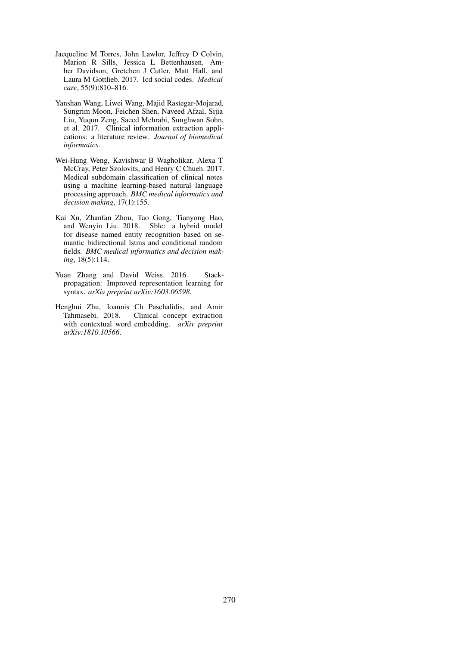- <span id="page-9-0"></span>Jacqueline M Torres, John Lawlor, Jeffrey D Colvin, Marion R Sills, Jessica L Bettenhausen, Amber Davidson, Gretchen J Cutler, Matt Hall, and Laura M Gottlieb. 2017. Icd social codes. *Medical care*, 55(9):810–816.
- <span id="page-9-1"></span>Yanshan Wang, Liwei Wang, Majid Rastegar-Mojarad, Sungrim Moon, Feichen Shen, Naveed Afzal, Sijia Liu, Yuqun Zeng, Saeed Mehrabi, Sunghwan Sohn, et al. 2017. Clinical information extraction applications: a literature review. *Journal of biomedical informatics*.
- <span id="page-9-4"></span>Wei-Hung Weng, Kavishwar B Wagholikar, Alexa T McCray, Peter Szolovits, and Henry C Chueh. 2017. Medical subdomain classification of clinical notes using a machine learning-based natural language processing approach. *BMC medical informatics and decision making*, 17(1):155.
- <span id="page-9-2"></span>Kai Xu, Zhanfan Zhou, Tao Gong, Tianyong Hao, and Wenyin Liu. 2018. Sblc: a hybrid model for disease named entity recognition based on semantic bidirectional lstms and conditional random fields. *BMC medical informatics and decision making*, 18(5):114.
- <span id="page-9-5"></span>Yuan Zhang and David Weiss. 2016. Stackpropagation: Improved representation learning for syntax. *arXiv preprint arXiv:1603.06598*.
- <span id="page-9-3"></span>Henghui Zhu, Ioannis Ch Paschalidis, and Amir Tahmasebi. 2018. Clinical concept extraction with contextual word embedding. *arXiv preprint arXiv:1810.10566*.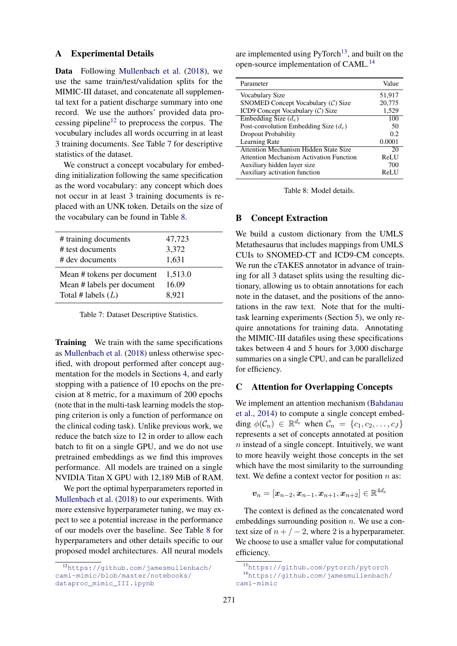#### <span id="page-10-0"></span>A Experimental Details

Data Following [Mullenbach et al.](#page-8-0) [\(2018\)](#page-8-0), we use the same train/test/validation splits for the MIMIC-III dataset, and concatenate all supplemental text for a patient discharge summary into one record. We use the authors' provided data pro-cessing pipeline<sup>[12](#page-10-4)</sup> to preprocess the corpus. The vocubulary includes all words occurring in at least 3 training documents. See Table [7](#page-10-5) for descriptive statistics of the dataset.

We construct a concept vocabulary for embedding initialization following the same specification as the word vocabulary: any concept which does not occur in at least 3 training documents is replaced with an UNK token. Details on the size of the vocabulary can be found in Table [8.](#page-10-3)

<span id="page-10-5"></span>

| # training documents       | 47,723  |
|----------------------------|---------|
| # test documents           | 3,372   |
| # dev documents            | 1,631   |
| Mean # tokens per document | 1,513.0 |
| Mean # labels per document | 16.09   |
| Total # labels $(L)$       | 8,921   |

Table 7: Dataset Descriptive Statistics.

Training We train with the same specifications as [Mullenbach et al.](#page-8-0) [\(2018\)](#page-8-0) unless otherwise specified, with dropout performed after concept augmentation for the models in Sections [4,](#page-2-4) and early stopping with a patience of 10 epochs on the precision at 8 metric, for a maximum of 200 epochs (note that in the multi-task learning models the stopping criterion is only a function of performance on the clinical coding task). Unlike previous work, we reduce the batch size to 12 in order to allow each batch to fit on a single GPU, and we do not use pretrained embeddings as we find this improves performance. All models are trained on a single NVIDIA Titan X GPU with 12,189 MiB of RAM.

We port the optimal hyperparameters reported in [Mullenbach et al.](#page-8-0) [\(2018\)](#page-8-0) to our experiments. With more extensive hyperparameter tuning, we may expect to see a potential increase in the performance of our models over the baseline. See Table [8](#page-10-3) for hyperparameters and other details specific to our proposed model architectures. All neural models

are implemented using  $PyTorch<sup>13</sup>$  $PyTorch<sup>13</sup>$  $PyTorch<sup>13</sup>$ , and built on the open-source implementation of CAML.<sup>[14](#page-10-7)</sup>

<span id="page-10-3"></span>

| Parameter                                      | Value       |
|------------------------------------------------|-------------|
| Vocabulary Size                                | 51,917      |
| SNOMED Concept Vocabulary $(C)$ Size           | 20,775      |
| ICD9 Concept Vocabulary $(C)$ Size             | 1,529       |
| Embedding Size $(d_e)$                         | 100         |
| Post-convolution Embedding Size $(d_c)$        | 50          |
| <b>Dropout Probability</b>                     | 0.2         |
| Learning Rate                                  | 0.0001      |
| Attention Mechanism Hidden State Size          | 20          |
| <b>Attention Mechanism Activation Function</b> | <b>ReLU</b> |
| Auxiliary hidden layer size                    | 700         |
| Auxiliary activation function                  | ReLU        |

Table 8: Model details.

# <span id="page-10-1"></span>B Concept Extraction

We build a custom dictionary from the UMLS Metathesaurus that includes mappings from UMLS CUIs to SNOMED-CT and ICD9-CM concepts. We run the cTAKES annotator in advance of training for all 3 dataset splits using the resulting dictionary, allowing us to obtain annotations for each note in the dataset, and the positions of the annotations in the raw text. Note that for the multitask learning experiments (Section [5\)](#page-5-1), we only require annotations for training data. Annotating the MIMIC-III datafiles using these specifications takes between 4 and 5 hours for 3,000 discharge summaries on a single CPU, and can be parallelized for efficiency.

## <span id="page-10-2"></span>C Attention for Overlapping Concepts

We implement an attention mechanism [\(Bahdanau](#page-7-6) [et al.,](#page-7-6) [2014\)](#page-7-6) to compute a single concept embedding  $\phi(C_n) \in \mathbb{R}^{d_e}$  when  $C_n = \{c_1, c_2, \ldots, c_J\}$ represents a set of concepts annotated at position  $n$  instead of a single concept. Intuitively, we want to more heavily weight those concepts in the set which have the most similarity to the surrounding text. We define a context vector for position  $n$  as:

$$
\boldsymbol{v}_n = [\boldsymbol{x}_{n-2}, \boldsymbol{x}_{n-1}, \boldsymbol{x}_{n+1}, \boldsymbol{x}_{n+2}] \in \mathbb{R}^{4d_e}
$$

 $\overline{4}$ 

The context is defined as the concatenated word embeddings surrounding position  $n$ . We use a context size of  $n + / -2$ , where 2 is a hyperparameter. We choose to use a smaller value for computational efficiency.

<span id="page-10-4"></span><sup>12</sup>[https://github.com/jamesmullenbach/](https://github.com/jamesmullenbach/caml-mimic/blob/master/notebooks/dataproc_mimic_III.ipynb) [caml-mimic/blob/master/notebooks/](https://github.com/jamesmullenbach/caml-mimic/blob/master/notebooks/dataproc_mimic_III.ipynb) [dataproc\\_mimic\\_III.ipynb](https://github.com/jamesmullenbach/caml-mimic/blob/master/notebooks/dataproc_mimic_III.ipynb)

<span id="page-10-7"></span><span id="page-10-6"></span><sup>13</sup><https://github.com/pytorch/pytorch> <sup>14</sup>[https://github.com/jamesmullenbach/](https://github.com/jamesmullenbach/caml-mimic) [caml-mimic](https://github.com/jamesmullenbach/caml-mimic)